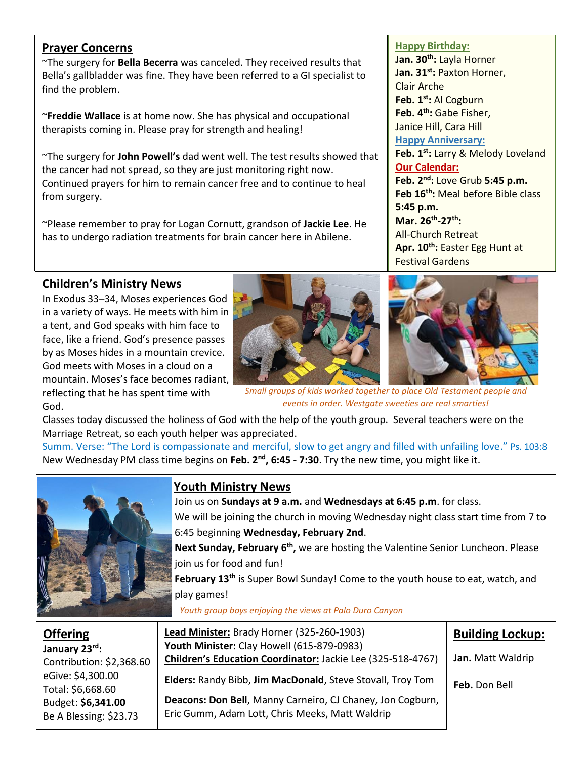#### **Prayer Concerns**

~The surgery for **Bella Becerra** was canceled. They received results that Bella's gallbladder was fine. They have been referred to a GI specialist to find the problem.

~**Freddie Wallace** is at home now. She has physical and occupational therapists coming in. Please pray for strength and healing!

~The surgery for **John Powell's** dad went well. The test results showed that the cancer had not spread, so they are just monitoring right now. Continued prayers for him to remain cancer free and to continue to heal from surgery.

~Please remember to pray for Logan Cornutt, grandson of **Jackie Lee**. He has to undergo radiation treatments for brain cancer here in Abilene.

## **Children's Ministry News**

In Exodus 33–34, Moses experiences God in a variety of ways. He meets with him in a tent, and God speaks with him face to face, like a friend. God's presence passes by as Moses hides in a mountain crevice. God meets with Moses in a cloud on a mountain. Moses's face becomes radiant, reflecting that he has spent time with God.





*Small groups of kids worked together to place Old Testament people and events in order. Westgate sweeties are real smarties!*

Classes today discussed the holiness of God with the help of the youth group. Several teachers were on the Marriage Retreat, so each youth helper was appreciated.

Summ. Verse: "The Lord is compassionate and merciful, slow to get angry and filled with unfailing love." Ps. 103:8 New Wednesday PM class time begins on Feb. 2<sup>nd</sup>, 6:45 - 7:30. Try the new time, you might like it.



# **Youth Ministry News**

Join us on **Sundays at 9 a.m.** and **Wednesdays at 6:45 p.m**. for class. We will be joining the church in moving Wednesday night class start time from 7 to 6:45 beginning **Wednesday, February 2nd**.

Next Sunday, February 6<sup>th</sup>, we are hosting the Valentine Senior Luncheon. Please join us for food and fun!

**February 13<sup>th</sup>** is Super Bowl Sunday! Come to the youth house to eat, watch, and play games!

*Youth group boys enjoying the views at Palo Duro Canyon*

| <b>Offering</b><br>January 23rd:<br>Contribution: \$2,368.60 | Lead Minister: Brady Horner (325-260-1903)<br>Youth Minister: Clay Howell (615-879-0983)<br>Children's Education Coordinator: Jackie Lee (325-518-4767) | <b>Building Lockup:</b><br>Jan. Matt Waldrip |
|--------------------------------------------------------------|---------------------------------------------------------------------------------------------------------------------------------------------------------|----------------------------------------------|
| eGive: \$4,300.00<br>Total: \$6,668.60                       | Elders: Randy Bibb, Jim MacDonald, Steve Stovall, Troy Tom                                                                                              | Feb. Don Bell                                |
| Budget: \$6,341.00<br>Be A Blessing: \$23.73                 | Deacons: Don Bell, Manny Carneiro, CJ Chaney, Jon Cogburn,<br>Eric Gumm, Adam Lott, Chris Meeks, Matt Waldrip                                           |                                              |

#### **Happy Birthday:**

**Jan. 30th:** Layla Horner **Jan. 31st:** Paxton Horner, Clair Arche **Feb. 1st:** Al Cogburn **Feb. 4th:** Gabe Fisher, Janice Hill, Cara Hill **Happy Anniversary: Feb. 1st:** Larry & Melody Loveland **Our Calendar: Feb. 2nd:** Love Grub **5:45 p.m. Feb 16th:** Meal before Bible class **5:45 p.m. Mar. 26th -27th:**  All-Church Retreat **Apr. 10th:** Easter Egg Hunt at Festival Gardens